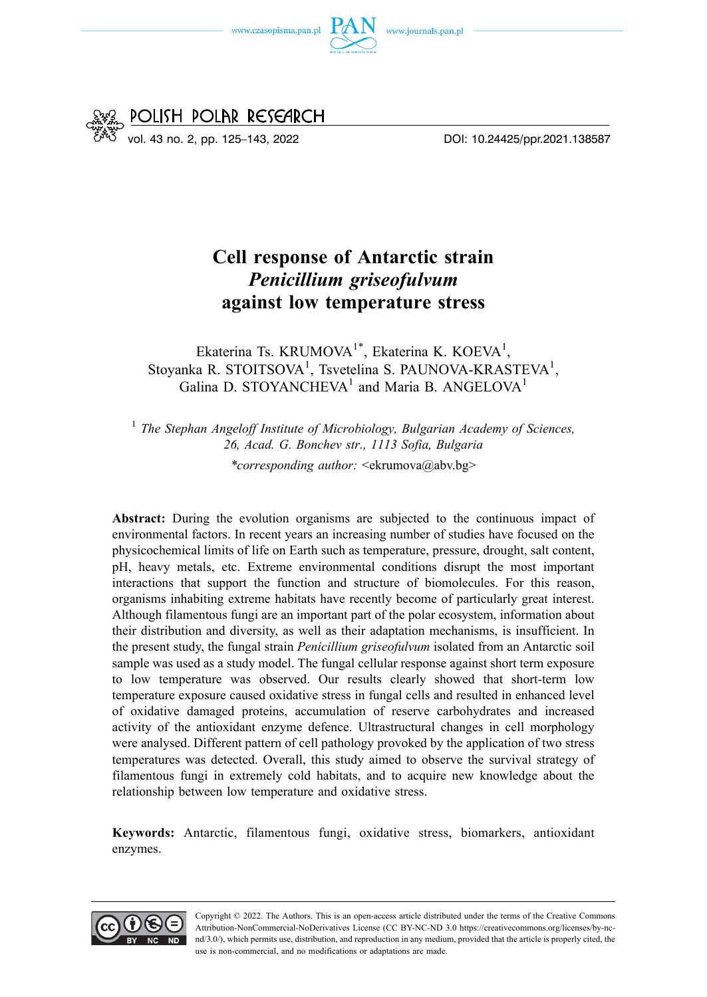



# **Cell response of Antarctic strain**  *Penicillium griseofulvum*  **against low temperature stress**

Ekaterina Ts. KRUMOVA<sup>1\*</sup>, Ekaterina K. KOEVA<sup>1</sup>, Stoyanka R. STOITSOVA<sup>1</sup>, Tsvetelina S. PAUNOVA-KRASTEVA<sup>1</sup>, Galina D. STOYANCHEVA<sup>1</sup> and Maria B. ANGELOVA<sup>1</sup>

<sup>1</sup> The Stephan Angeloff Institute of Microbiology, Bulgarian Academy of Sciences, *26, Acad. G. Bonchev str., 1113 Sofia, Bulgaria* 

*\*corresponding author:* <ekrumova@abv.bg>

**Abstract:** During the evolution organisms are subjected to the continuous impact of environmental factors. In recent years an increasing number of studies have focused on the physicochemical limits of life on Earth such as temperature, pressure, drought, salt content, pH, heavy metals, etc. Extreme environmental conditions disrupt the most important interactions that support the function and structure of biomolecules. For this reason, organisms inhabiting extreme habitats have recently become of particularly great interest. Although filamentous fungi are an important part of the polar ecosystem, information about their distribution and diversity, as well as their adaptation mechanisms, is insufficient. In the present study, the fungal strain *Penicillium griseofulvum* isolated from an Antarctic soil sample was used as a study model. The fungal cellular response against short term exposure to low temperature was observed. Our results clearly showed that short-term low temperature exposure caused oxidative stress in fungal cells and resulted in enhanced level of oxidative damaged proteins, accumulation of reserve carbohydrates and increased activity of the antioxidant enzyme defence. Ultrastructural changes in cell morphology were analysed. Different pattern of cell pathology provoked by the application of two stress temperatures was detected. Overall, this study aimed to observe the survival strategy of filamentous fungi in extremely cold habitats, and to acquire new knowledge about the relationship between low temperature and oxidative stress.

**Keywords:** Antarctic, filamentous fungi, oxidative stress, biomarkers, antioxidant enzymes.

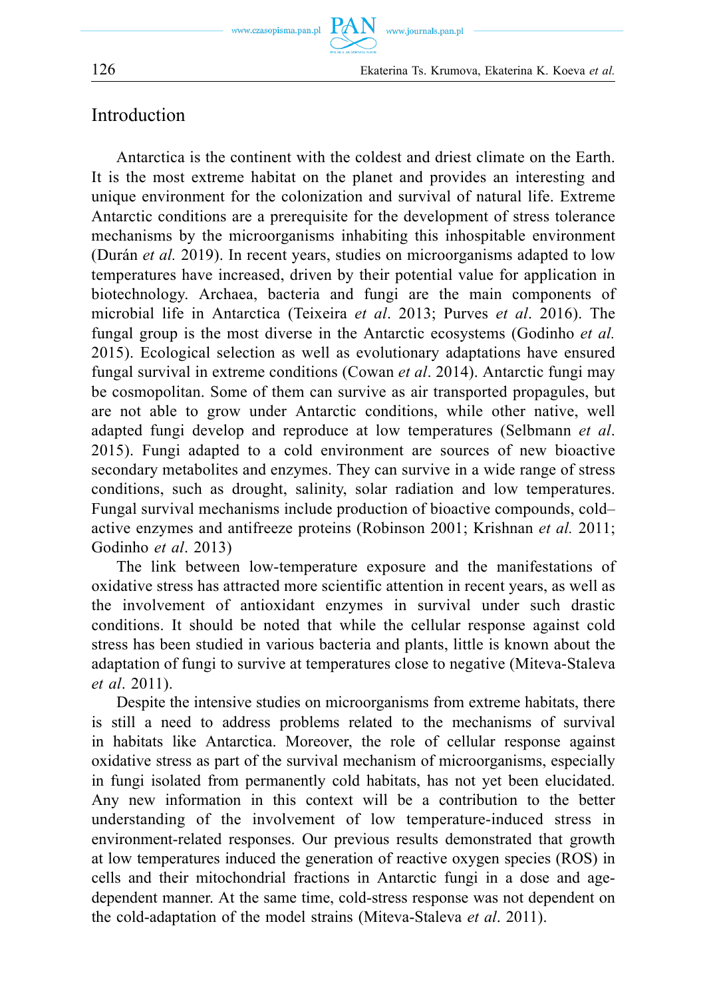126 Ekaterina Ts. Krumova, Ekaterina K. Koeva *et al.* 

## Introduction

Antarctica is the continent with the coldest and driest climate on the Earth. It is the most extreme habitat on the planet and provides an interesting and unique environment for the colonization and survival of natural life. Extreme Antarctic conditions are a prerequisite for the development of stress tolerance mechanisms by the microorganisms inhabiting this inhospitable environment (Durán *et al.* 2019). In recent years, studies on microorganisms adapted to low temperatures have increased, driven by their potential value for application in biotechnology. Archaea, bacteria and fungi are the main components of microbial life in Antarctica (Teixeira *et al*. 2013; Purves *et al*. 2016). The fungal group is the most diverse in the Antarctic ecosystems (Godinho *et al.*  2015). Ecological selection as well as evolutionary adaptations have ensured fungal survival in extreme conditions (Cowan *et al*. 2014). Antarctic fungi may be cosmopolitan. Some of them can survive as air transported propagules, but are not able to grow under Antarctic conditions, while other native, well adapted fungi develop and reproduce at low temperatures (Selbmann *et al*. 2015). Fungi adapted to a cold environment are sources of new bioactive secondary metabolites and enzymes. They can survive in a wide range of stress conditions, such as drought, salinity, solar radiation and low temperatures. Fungal survival mechanisms include production of bioactive compounds, cold– active enzymes and antifreeze proteins (Robinson 2001; Krishnan *et al.* 2011; Godinho *et al*. 2013)

The link between low-temperature exposure and the manifestations of oxidative stress has attracted more scientific attention in recent years, as well as the involvement of antioxidant enzymes in survival under such drastic conditions. It should be noted that while the cellular response against cold stress has been studied in various bacteria and plants, little is known about the adaptation of fungi to survive at temperatures close to negative (Miteva-Staleva *et al*. 2011).

Despite the intensive studies on microorganisms from extreme habitats, there is still a need to address problems related to the mechanisms of survival in habitats like Antarctica. Moreover, the role of cellular response against oxidative stress as part of the survival mechanism of microorganisms, especially in fungi isolated from permanently cold habitats, has not yet been elucidated. Any new information in this context will be a contribution to the better understanding of the involvement of low temperature-induced stress in environment-related responses. Our previous results demonstrated that growth at low temperatures induced the generation of reactive oxygen species (ROS) in cells and their mitochondrial fractions in Antarctic fungi in a dose and agedependent manner. At the same time, cold-stress response was not dependent on the cold-adaptation of the model strains (Miteva-Staleva *et al*. 2011).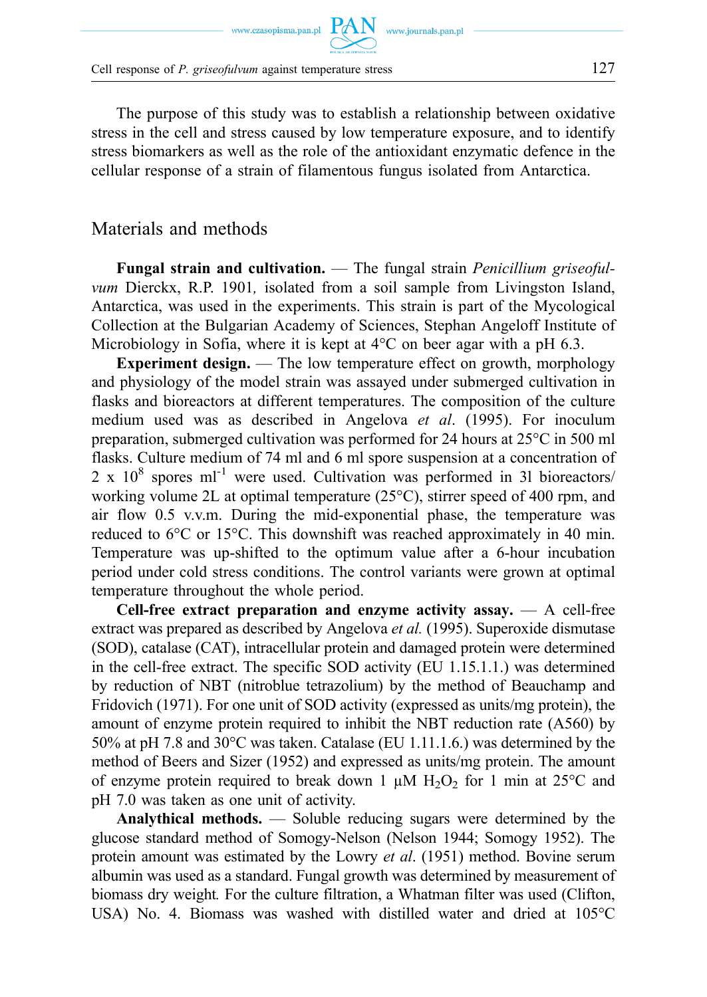Cell response of *P. griseofulvum* against temperature stress 127

The purpose of this study was to establish a relationship between oxidative stress in the cell and stress caused by low temperature exposure, and to identify stress biomarkers as well as the role of the antioxidant enzymatic defence in the cellular response of a strain of filamentous fungus isolated from Antarctica.

### Materials and methods

**Fungal strain and cultivation.** — The fungal strain *Penicillium griseofulvum* Dierckx, R.P. 1901*,* isolated from a soil sample from Livingston Island, Antarctica, was used in the experiments. This strain is part of the Mycological Collection at the Bulgarian Academy of Sciences, Stephan Angeloff Institute of Microbiology in Sofia, where it is kept at 4°C on beer agar with a pH 6.3.

**Experiment design.** — The low temperature effect on growth, morphology and physiology of the model strain was assayed under submerged cultivation in flasks and bioreactors at different temperatures. The composition of the culture medium used was as described in Angelova *et al*. (1995). For inoculum preparation, submerged cultivation was performed for 24 hours at 25°C in 500 ml flasks. Culture medium of 74 ml and 6 ml spore suspension at a concentration of 2 x  $10^8$  spores ml<sup>-1</sup> were used. Cultivation was performed in 31 bioreactors/ working volume 2L at optimal temperature (25°C), stirrer speed of 400 rpm, and air flow 0.5 v.v.m. During the mid-exponential phase, the temperature was reduced to 6°C or 15°C. This downshift was reached approximately in 40 min. Temperature was up-shifted to the optimum value after a 6-hour incubation period under cold stress conditions. The control variants were grown at optimal temperature throughout the whole period.

**Cell-free extract preparation and enzyme activity assay.** — A cell-free extract was prepared as described by Angelova *et al.* (1995). Superoxide dismutase (SOD), catalase (CAT), intracellular protein and damaged protein were determined in the cell-free extract. The specific SOD activity (EU 1.15.1.1.) was determined by reduction of NBT (nitroblue tetrazolium) by the method of Beauchamp and Fridovich (1971). For one unit of SOD activity (expressed as units/mg protein), the amount of enzyme protein required to inhibit the NBT reduction rate (A560) by 50% at pH 7.8 and 30°C was taken. Catalase (EU 1.11.1.6.) was determined by the method of Beers and Sizer (1952) and expressed as units/mg protein. The amount of enzyme protein required to break down 1  $\mu$ M H<sub>2</sub>O<sub>2</sub> for 1 min at 25<sup>o</sup>C and pH 7.0 was taken as one unit of activity.

**Analythical methods.** — Soluble reducing sugars were determined by the glucose standard method of Somogy-Nelson (Nelson 1944; Somogy 1952). The protein amount was estimated by the Lowry *et al*. (1951) method. Bovine serum albumin was used as a standard. Fungal growth was determined by measurement of biomass dry weight*.* For the culture filtration, a Whatman filter was used (Clifton, USA) No. 4. Biomass was washed with distilled water and dried at 105°C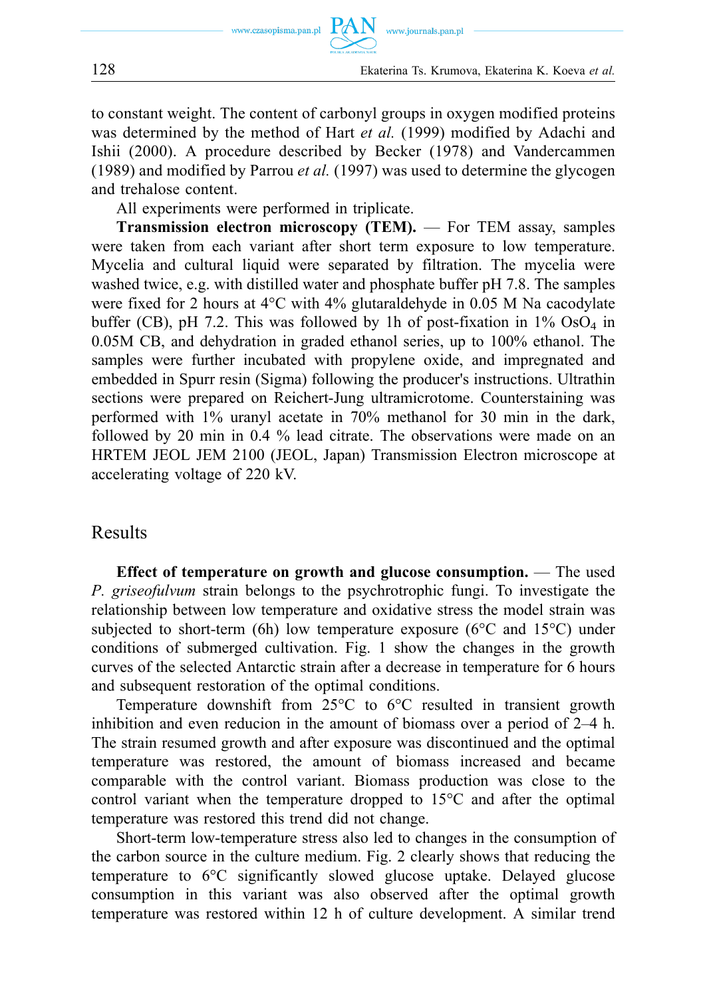

to constant weight. The content of carbonyl groups in oxygen modified proteins was determined by the method of Hart *et al.* (1999) modified by Adachi and Ishii (2000). A procedure described by Becker (1978) and Vandercammen (1989) and modified by Parrou *et al.* (1997) was used to determine the glycogen and trehalose content.

All experiments were performed in triplicate.

**Transmission electron microscopy (TEM).** — For TEM assay, samples were taken from each variant after short term exposure to low temperature. Mycelia and cultural liquid were separated by filtration. The mycelia were washed twice, e.g. with distilled water and phosphate buffer pH 7.8. The samples were fixed for 2 hours at  $4^{\circ}$ C with  $4\%$  glutaraldehyde in 0.05 M Na cacodylate buffer (CB), pH 7.2. This was followed by 1h of post-fixation in  $1\%$  OsO<sub>4</sub> in 0.05M CB, and dehydration in graded ethanol series, up to 100% ethanol. The samples were further incubated with propylene oxide, and impregnated and embedded in Spurr resin (Sigma) following the producer's instructions. Ultrathin sections were prepared on Reichert-Jung ultramicrotome. Counterstaining was performed with 1% uranyl acetate in 70% methanol for 30 min in the dark, followed by 20 min in 0.4 % lead citrate. The observations were made on an HRTEM JEOL JEM 2100 (JEOL, Japan) Transmission Electron microscope at accelerating voltage of 220 kV.

#### Results

**Effect of temperature on growth and glucose consumption.** — The used *P. griseofulvum* strain belongs to the psychrotrophic fungi. To investigate the relationship between low temperature and oxidative stress the model strain was subjected to short-term (6h) low temperature exposure ( $6^{\circ}$ C and  $15^{\circ}$ C) under conditions of submerged cultivation. Fig. 1 show the changes in the growth curves of the selected Antarctic strain after a decrease in temperature for 6 hours and subsequent restoration of the optimal conditions.

Temperature downshift from 25°C to 6°C resulted in transient growth inhibition and even reducion in the amount of biomass over a period of 2–4 h. The strain resumed growth and after exposure was discontinued and the optimal temperature was restored, the amount of biomass increased and became comparable with the control variant. Biomass production was close to the control variant when the temperature dropped to 15°C and after the optimal temperature was restored this trend did not change.

Short-term low-temperature stress also led to changes in the consumption of the carbon source in the culture medium. Fig. 2 clearly shows that reducing the temperature to 6°C significantly slowed glucose uptake. Delayed glucose consumption in this variant was also observed after the optimal growth temperature was restored within 12 h of culture development. A similar trend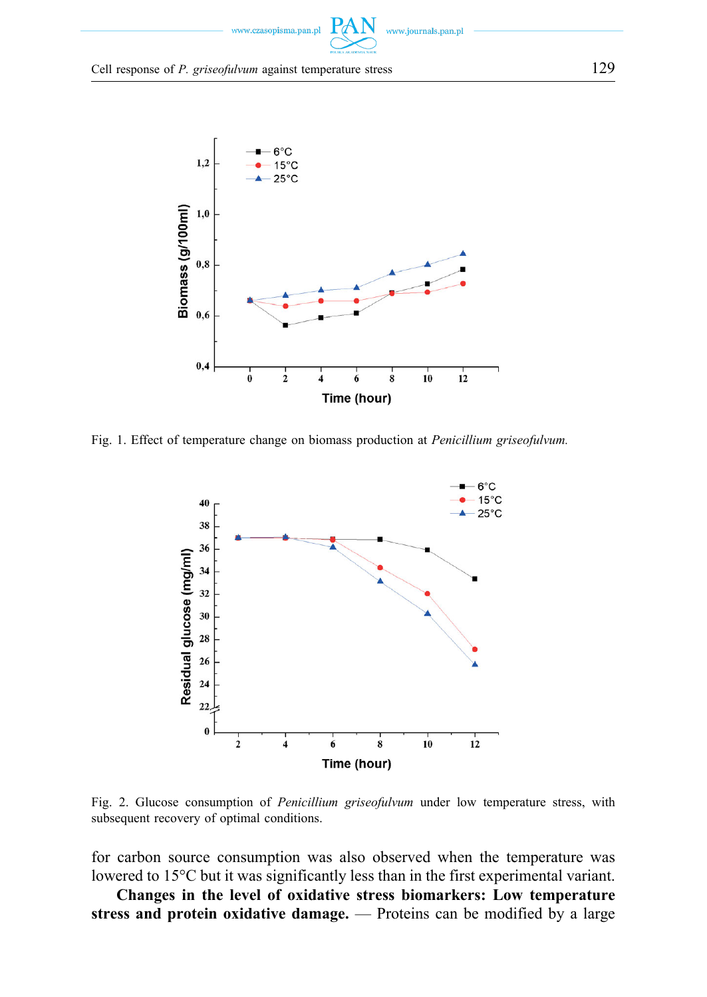

Cell response of *P. griseofulvum* against temperature stress 129



Fig. 1. Effect of temperature change on biomass production at *Penicillium griseofulvum.* 



Fig. 2. Glucose consumption of *Penicillium griseofulvum* under low temperature stress, with subsequent recovery of optimal conditions.

for carbon source consumption was also observed when the temperature was lowered to 15°C but it was significantly less than in the first experimental variant.

**Changes in the level of oxidative stress biomarkers: Low temperature stress and protein oxidative damage.** — Proteins can be modified by a large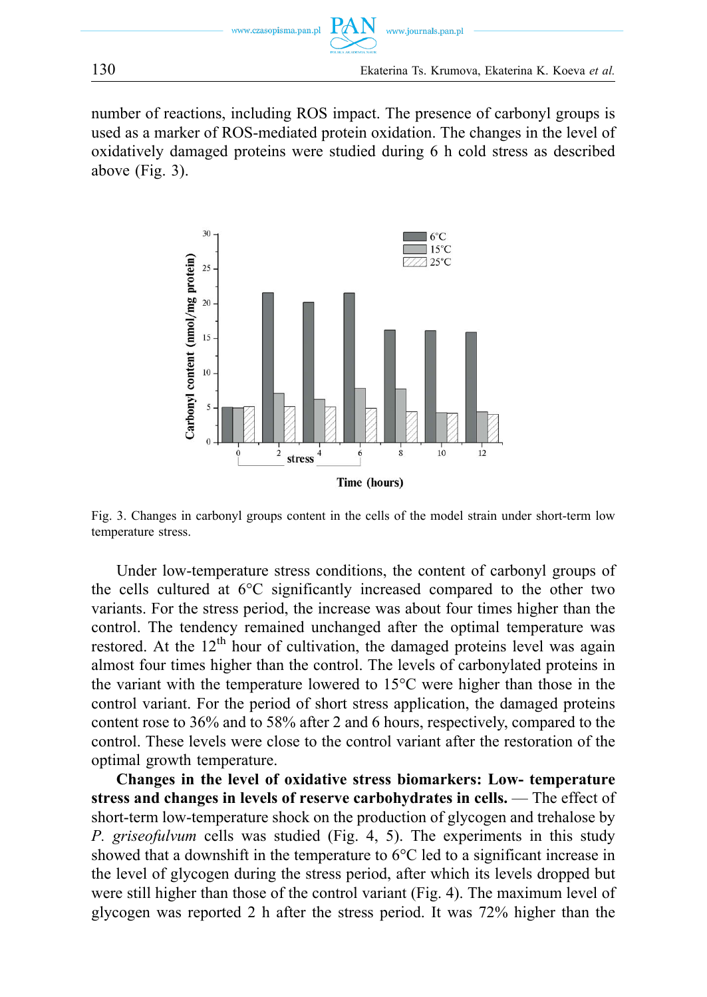



number of reactions, including ROS impact. The presence of carbonyl groups is used as a marker of ROS-mediated protein oxidation. The changes in the level of oxidatively damaged proteins were studied during 6 h cold stress as described above (Fig. 3).



Fig. 3. Changes in carbonyl groups content in the cells of the model strain under short-term low temperature stress.

Under low-temperature stress conditions, the content of carbonyl groups of the cells cultured at 6°C significantly increased compared to the other two variants. For the stress period, the increase was about four times higher than the control. The tendency remained unchanged after the optimal temperature was restored. At the  $12<sup>th</sup>$  hour of cultivation, the damaged proteins level was again almost four times higher than the control. The levels of carbonylated proteins in the variant with the temperature lowered to 15°C were higher than those in the control variant. For the period of short stress application, the damaged proteins content rose to 36% and to 58% after 2 and 6 hours, respectively, compared to the control. These levels were close to the control variant after the restoration of the optimal growth temperature.

**Changes in the level of oxidative stress biomarkers: Low- temperature stress and changes in levels of reserve carbohydrates in cells.** — The effect of short-term low-temperature shock on the production of glycogen and trehalose by *P. griseofulvum* cells was studied (Fig. 4, 5). The experiments in this study showed that a downshift in the temperature to  $6^{\circ}$ C led to a significant increase in the level of glycogen during the stress period, after which its levels dropped but were still higher than those of the control variant (Fig. 4). The maximum level of glycogen was reported 2 h after the stress period. It was 72% higher than the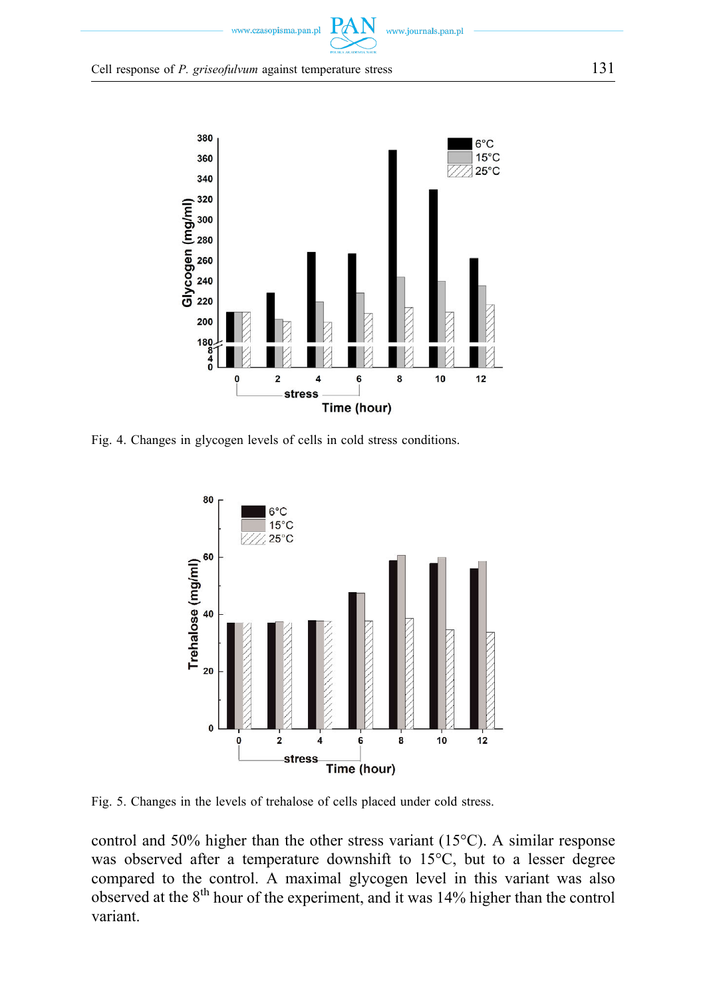



Fig. 4. Changes in glycogen levels of cells in cold stress conditions.



Fig. 5. Changes in the levels of trehalose of cells placed under cold stress.

control and 50% higher than the other stress variant (15°C). A similar response was observed after a temperature downshift to 15°C, but to a lesser degree compared to the control. A maximal glycogen level in this variant was also observed at the 8<sup>th</sup> hour of the experiment, and it was 14% higher than the control variant.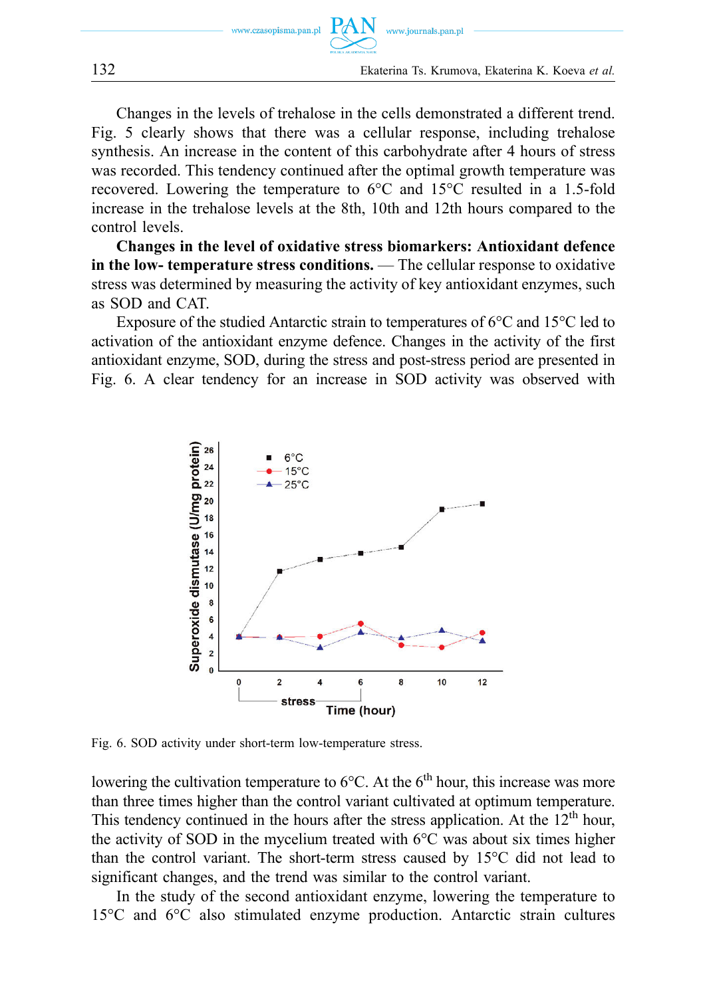

Changes in the levels of trehalose in the cells demonstrated a different trend. Fig. 5 clearly shows that there was a cellular response, including trehalose synthesis. An increase in the content of this carbohydrate after 4 hours of stress was recorded. This tendency continued after the optimal growth temperature was recovered. Lowering the temperature to 6°C and 15°C resulted in a 1.5-fold increase in the trehalose levels at the 8th, 10th and 12th hours compared to the control levels.

**Changes in the level of oxidative stress biomarkers: Antioxidant defence in the low- temperature stress conditions.** — The cellular response to oxidative stress was determined by measuring the activity of key antioxidant enzymes, such as SOD and CAT.

Exposure of the studied Antarctic strain to temperatures of 6°C and 15°C led to activation of the antioxidant enzyme defence. Changes in the activity of the first antioxidant enzyme, SOD, during the stress and post-stress period are presented in Fig. 6. A clear tendency for an increase in SOD activity was observed with



Fig. 6. SOD activity under short-term low-temperature stress.

lowering the cultivation temperature to  $6^{\circ}$ C. At the  $6^{\text{th}}$  hour, this increase was more than three times higher than the control variant cultivated at optimum temperature. This tendency continued in the hours after the stress application. At the  $12<sup>th</sup>$  hour, the activity of SOD in the mycelium treated with 6°C was about six times higher than the control variant. The short-term stress caused by 15°C did not lead to significant changes, and the trend was similar to the control variant.

In the study of the second antioxidant enzyme, lowering the temperature to 15°C and 6°C also stimulated enzyme production. Antarctic strain cultures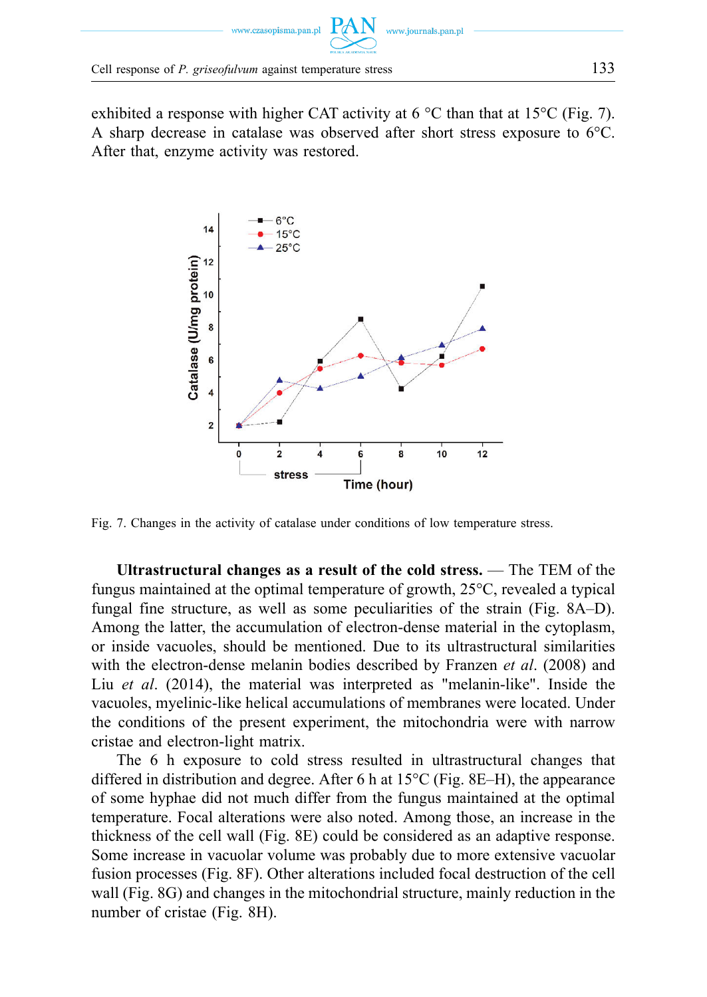

exhibited a response with higher CAT activity at  $6^{\circ}$ C than that at 15 $^{\circ}$ C (Fig. 7). A sharp decrease in catalase was observed after short stress exposure to 6°C. After that, enzyme activity was restored.



Fig. 7. Changes in the activity of catalase under conditions of low temperature stress.

**Ultrastructural changes as a result of the cold stress.** — The TEM of the fungus maintained at the optimal temperature of growth, 25°C, revealed a typical fungal fine structure, as well as some peculiarities of the strain (Fig. 8A–D). Among the latter, the accumulation of electron-dense material in the cytoplasm, or inside vacuoles, should be mentioned. Due to its ultrastructural similarities with the electron-dense melanin bodies described by Franzen *et al*. (2008) and Liu *et al*. (2014), the material was interpreted as "melanin-like". Inside the vacuoles, myelinic-like helical accumulations of membranes were located. Under the conditions of the present experiment, the mitochondria were with narrow cristae and electron-light matrix.

The 6 h exposure to cold stress resulted in ultrastructural changes that differed in distribution and degree. After 6 h at 15°C (Fig. 8E–H), the appearance of some hyphae did not much differ from the fungus maintained at the optimal temperature. Focal alterations were also noted. Among those, an increase in the thickness of the cell wall (Fig. 8E) could be considered as an adaptive response. Some increase in vacuolar volume was probably due to more extensive vacuolar fusion processes (Fig. 8F). Other alterations included focal destruction of the cell wall (Fig. 8G) and changes in the mitochondrial structure, mainly reduction in the number of cristae (Fig. 8H).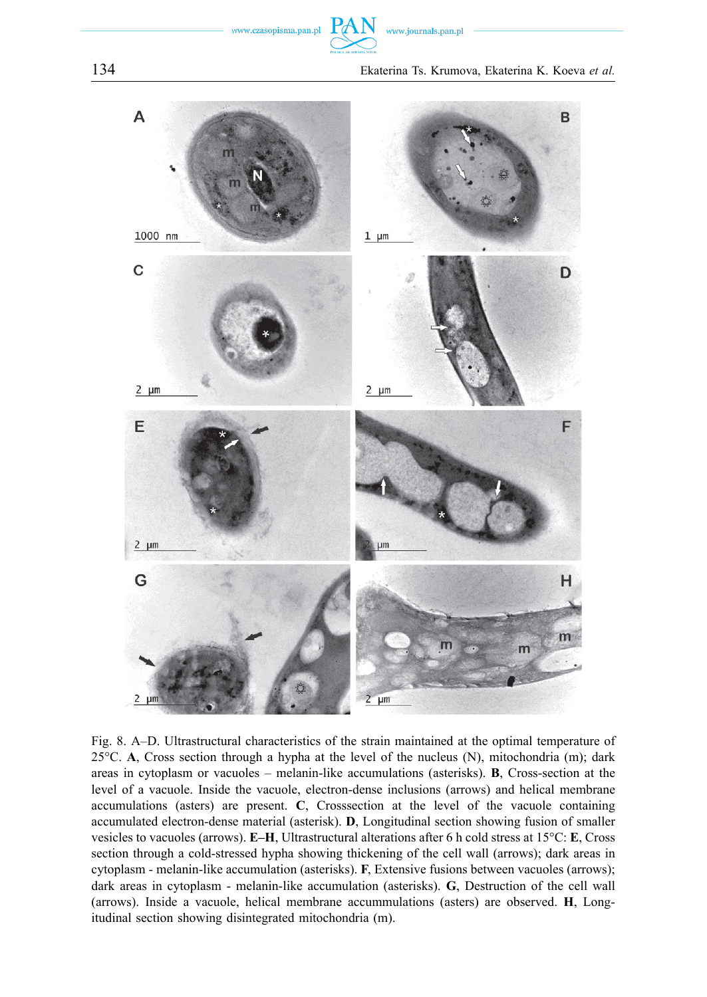

Fig. 8. A–D. Ultrastructural characteristics of the strain maintained at the optimal temperature of 25°C. **A**, Cross section through a hypha at the level of the nucleus (N), mitochondria (m); dark areas in cytoplasm or vacuoles – melanin-like accumulations (asterisks). **B**, Cross-section at the level of a vacuole. Inside the vacuole, electron-dense inclusions (arrows) and helical membrane accumulations (asters) are present. **C**, Crosssection at the level of the vacuole containing accumulated electron-dense material (asterisk). **D**, Longitudinal section showing fusion of smaller vesicles to vacuoles (arrows). **E–H**, Ultrastructural alterations after 6 h cold stress at 15°C: **E**, Cross section through a cold-stressed hypha showing thickening of the cell wall (arrows); dark areas in cytoplasm - melanin-like accumulation (asterisks). **F**, Extensive fusions between vacuoles (arrows); dark areas in cytoplasm - melanin-like accumulation (asterisks). **G**, Destruction of the cell wall (arrows). Inside a vacuole, helical membrane accummulations (asters) are observed. **H**, Longitudinal section showing disintegrated mitochondria (m).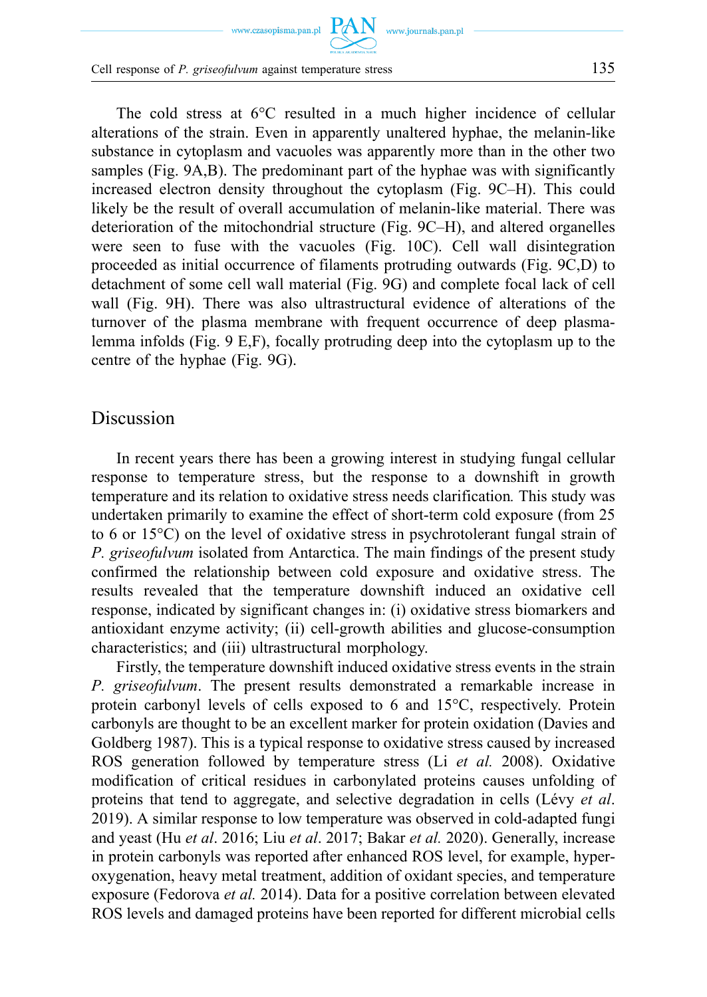www.czasopisma.pan.pl  $\hbox{ PAN }\,$  www.journals.pan.pl

The cold stress at 6°C resulted in a much higher incidence of cellular alterations of the strain. Even in apparently unaltered hyphae, the melanin-like substance in cytoplasm and vacuoles was apparently more than in the other two samples (Fig. 9A,B). The predominant part of the hyphae was with significantly increased electron density throughout the cytoplasm (Fig. 9C–H). This could likely be the result of overall accumulation of melanin-like material. There was deterioration of the mitochondrial structure (Fig. 9C–H), and altered organelles were seen to fuse with the vacuoles (Fig. 10C). Cell wall disintegration proceeded as initial occurrence of filaments protruding outwards (Fig. 9C,D) to detachment of some cell wall material (Fig. 9G) and complete focal lack of cell wall (Fig. 9H). There was also ultrastructural evidence of alterations of the turnover of the plasma membrane with frequent occurrence of deep plasmalemma infolds (Fig. 9 E,F), focally protruding deep into the cytoplasm up to the centre of the hyphae (Fig. 9G).

#### Discussion

In recent years there has been a growing interest in studying fungal cellular response to temperature stress, but the response to a downshift in growth temperature and its relation to oxidative stress needs clarification*.* This study was undertaken primarily to examine the effect of short-term cold exposure (from 25 to 6 or 15°C) on the level of oxidative stress in psychrotolerant fungal strain of *P. griseofulvum* isolated from Antarctica. The main findings of the present study confirmed the relationship between cold exposure and oxidative stress. The results revealed that the temperature downshift induced an oxidative cell response, indicated by significant changes in: (i) oxidative stress biomarkers and antioxidant enzyme activity; (ii) cell-growth abilities and glucose-consumption characteristics; and (iii) ultrastructural morphology.

Firstly, the temperature downshift induced oxidative stress events in the strain *P. griseofulvum*. The present results demonstrated a remarkable increase in protein carbonyl levels of cells exposed to 6 and 15°C, respectively. Protein carbonyls are thought to be an excellent marker for protein oxidation (Davies and Goldberg 1987). This is a typical response to oxidative stress caused by increased ROS generation followed by temperature stress (Li *et al.* 2008). Oxidative modification of critical residues in carbonylated proteins causes unfolding of proteins that tend to aggregate, and selective degradation in cells (Lévy *et al*. 2019). A similar response to low temperature was observed in cold-adapted fungi and yeast (Hu *et al*. 2016; Liu *et al*. 2017; Bakar *et al.* 2020). Generally, increase in protein carbonyls was reported after enhanced ROS level, for example, hyperoxygenation, heavy metal treatment, addition of oxidant species, and temperature exposure (Fedorova *et al.* 2014). Data for a positive correlation between elevated ROS levels and damaged proteins have been reported for different microbial cells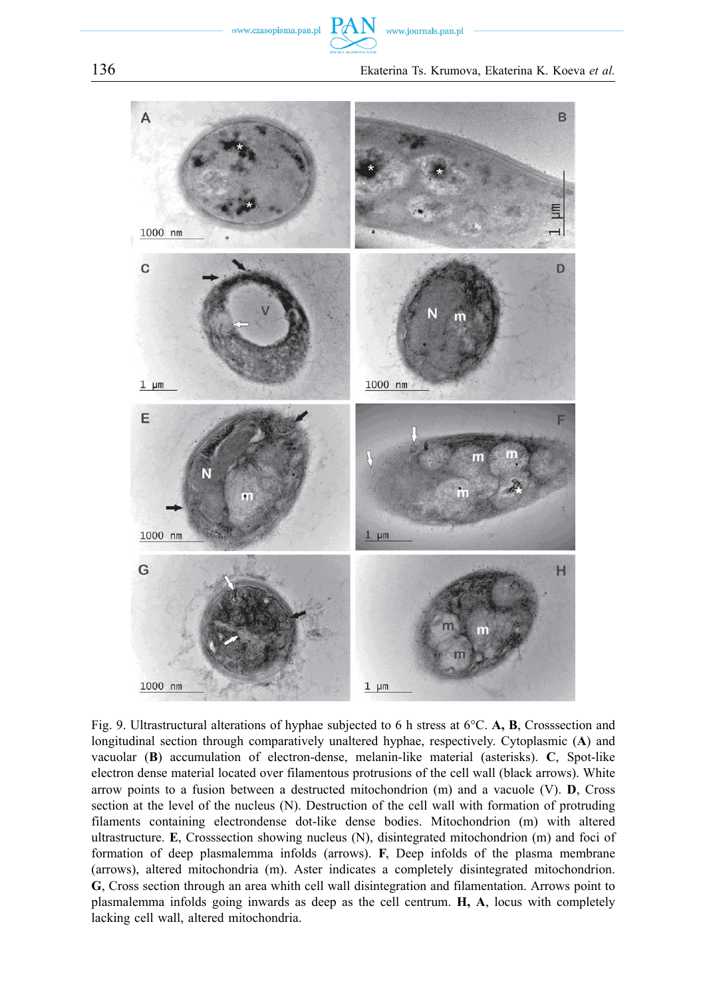

Fig. 9. Ultrastructural alterations of hyphae subjected to 6 h stress at 6°C. **A, B**, Crosssection and longitudinal section through comparatively unaltered hyphae, respectively. Cytoplasmic (**A**) and vacuolar (**B**) accumulation of electron-dense, melanin-like material (asterisks). **C**, Spot-like electron dense material located over filamentous protrusions of the cell wall (black arrows). White arrow points to a fusion between a destructed mitochondrion (m) and a vacuole (V). **D**, Cross section at the level of the nucleus (N). Destruction of the cell wall with formation of protruding filaments containing electrondense dot-like dense bodies. Mitochondrion (m) with altered ultrastructure. **E**, Crosssection showing nucleus (N), disintegrated mitochondrion (m) and foci of formation of deep plasmalemma infolds (arrows). **F**, Deep infolds of the plasma membrane (arrows), altered mitochondria (m). Aster indicates a completely disintegrated mitochondrion. **G**, Cross section through an area whith cell wall disintegration and filamentation. Arrows point to plasmalemma infolds going inwards as deep as the cell centrum. **H, A**, locus with completely lacking cell wall, altered mitochondria.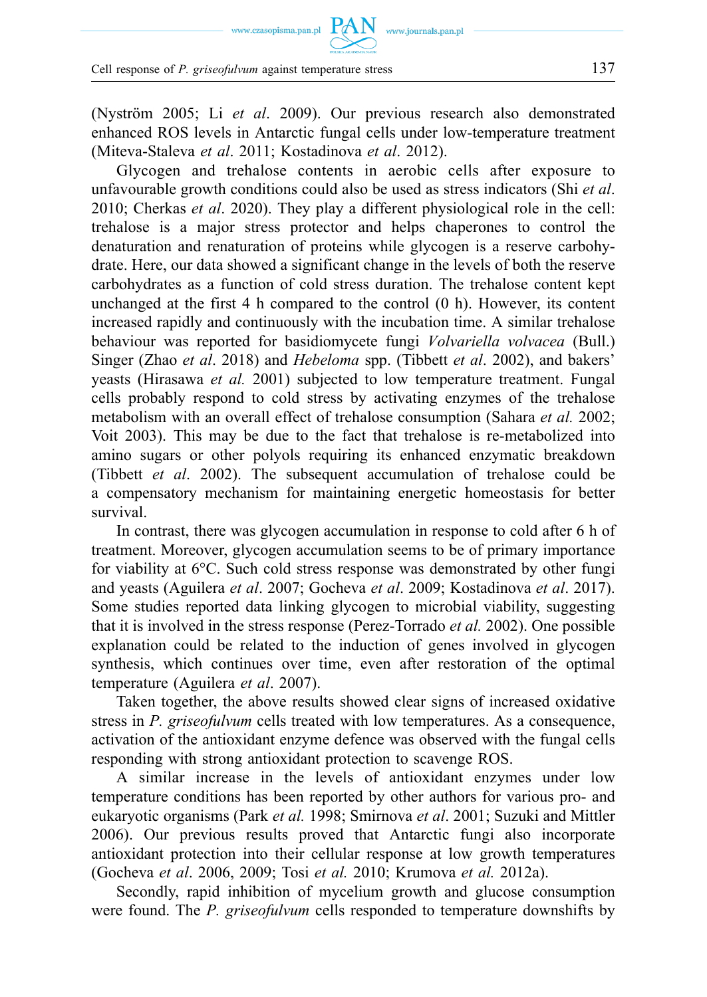(Nyström 2005; Li *et al*. 2009). Our previous research also demonstrated enhanced ROS levels in Antarctic fungal cells under low-temperature treatment (Miteva-Staleva *et al*. 2011; Kostadinova *et al*. 2012).

Glycogen and trehalose contents in aerobic cells after exposure to unfavourable growth conditions could also be used as stress indicators (Shi *et al*. 2010; Cherkas *et al*. 2020). They play a different physiological role in the cell: trehalose is a major stress protector and helps chaperones to control the denaturation and renaturation of proteins while glycogen is a reserve carbohydrate. Here, our data showed a significant change in the levels of both the reserve carbohydrates as a function of cold stress duration. The trehalose content kept unchanged at the first 4 h compared to the control (0 h). However, its content increased rapidly and continuously with the incubation time. A similar trehalose behaviour was reported for basidiomycete fungi *Volvariella volvacea* (Bull.) Singer (Zhao *et al*. 2018) and *Hebeloma* spp. (Tibbett *et al*. 2002), and bakers' yeasts (Hirasawa *et al.* 2001) subjected to low temperature treatment. Fungal cells probably respond to cold stress by activating enzymes of the trehalose metabolism with an overall effect of trehalose consumption (Sahara *et al.* 2002; Voit 2003). This may be due to the fact that trehalose is re-metabolized into amino sugars or other polyols requiring its enhanced enzymatic breakdown (Tibbett *et al*. 2002). The subsequent accumulation of trehalose could be a compensatory mechanism for maintaining energetic homeostasis for better survival.

In contrast, there was glycogen accumulation in response to cold after 6 h of treatment. Moreover, glycogen accumulation seems to be of primary importance for viability at 6°C. Such cold stress response was demonstrated by other fungi and yeasts (Aguilera *et al*. 2007; Gocheva *et al*. 2009; Kostadinova *et al*. 2017). Some studies reported data linking glycogen to microbial viability, suggesting that it is involved in the stress response (Perez-Torrado *et al.* 2002). One possible explanation could be related to the induction of genes involved in glycogen synthesis, which continues over time, even after restoration of the optimal temperature (Aguilera *et al*. 2007).

Taken together, the above results showed clear signs of increased oxidative stress in *P. griseofulvum* cells treated with low temperatures. As a consequence, activation of the antioxidant enzyme defence was observed with the fungal cells responding with strong antioxidant protection to scavenge ROS.

A similar increase in the levels of antioxidant enzymes under low temperature conditions has been reported by other authors for various pro- and eukaryotic organisms (Park *et al.* 1998; Smirnova *et al*. 2001; Suzuki and Mittler 2006). Our previous results proved that Antarctic fungi also incorporate antioxidant protection into their cellular response at low growth temperatures (Gocheva *et al*. 2006, 2009; Tosi *et al.* 2010; Krumova *et al.* 2012a).

Secondly, rapid inhibition of mycelium growth and glucose consumption were found. The *P. griseofulvum* cells responded to temperature downshifts by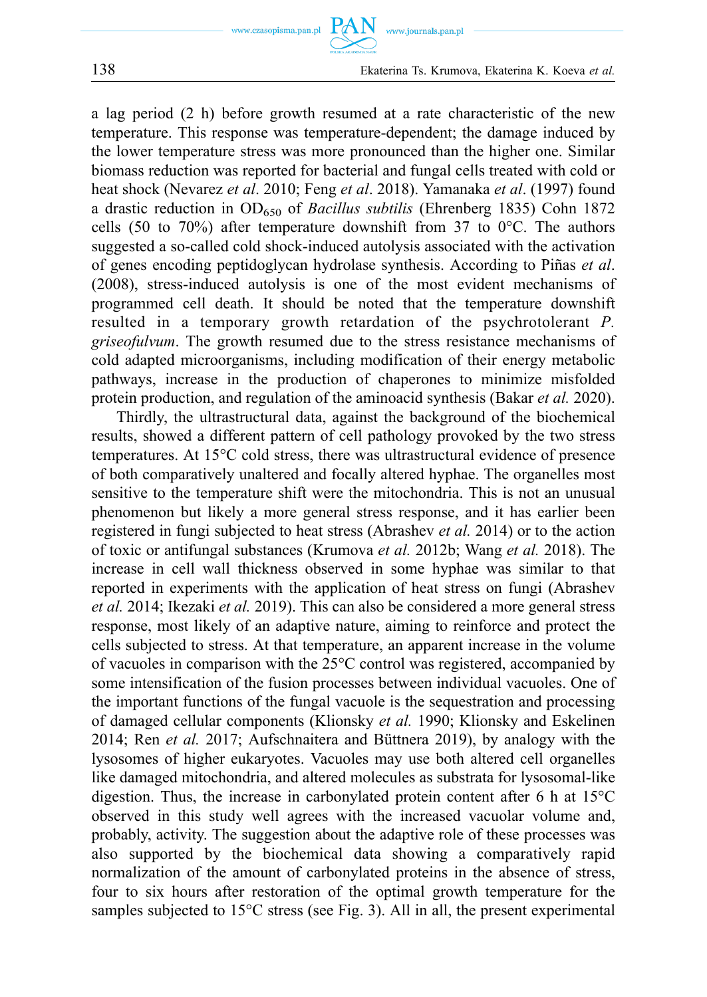

a lag period (2 h) before growth resumed at a rate characteristic of the new temperature. This response was temperature-dependent; the damage induced by the lower temperature stress was more pronounced than the higher one. Similar biomass reduction was reported for bacterial and fungal cells treated with cold or heat shock (Nevarez *et al*. 2010; Feng *et al*. 2018). Yamanaka *et al*. (1997) found a drastic reduction in OD650 of *Bacillus subtilis* (Ehrenberg 1835) Cohn 1872 cells (50 to 70%) after temperature downshift from 37 to 0 $^{\circ}$ C. The authors suggested a so-called cold shock-induced autolysis associated with the activation of genes encoding peptidoglycan hydrolase synthesis. According to Piñas *et al*. (2008), stress-induced autolysis is one of the most evident mechanisms of programmed cell death. It should be noted that the temperature downshift resulted in a temporary growth retardation of the psychrotolerant *P. griseofulvum*. The growth resumed due to the stress resistance mechanisms of cold adapted microorganisms, including modification of their energy metabolic pathways, increase in the production of chaperones to minimize misfolded protein production, and regulation of the aminoacid synthesis (Bakar *et al.* 2020).

Thirdly, the ultrastructural data, against the background of the biochemical results, showed a different pattern of cell pathology provoked by the two stress temperatures. At 15°C cold stress, there was ultrastructural evidence of presence of both comparatively unaltered and focally altered hyphae. The organelles most sensitive to the temperature shift were the mitochondria. This is not an unusual phenomenon but likely a more general stress response, and it has earlier been registered in fungi subjected to heat stress (Abrashev *et al.* 2014) or to the action of toxic or antifungal substances (Krumova *et al.* 2012b; Wang *et al.* 2018). The increase in cell wall thickness observed in some hyphae was similar to that reported in experiments with the application of heat stress on fungi (Abrashev *et al.* 2014; Ikezaki *et al.* 2019). This can also be considered a more general stress response, most likely of an adaptive nature, aiming to reinforce and protect the cells subjected to stress. At that temperature, an apparent increase in the volume of vacuoles in comparison with the 25°C control was registered, accompanied by some intensification of the fusion processes between individual vacuoles. One of the important functions of the fungal vacuole is the sequestration and processing of damaged cellular components (Klionsky *et al.* 1990; Klionsky and Eskelinen 2014; Ren *et al.* 2017; Aufschnaitera and Büttnera 2019), by analogy with the lysosomes of higher eukaryotes. Vacuoles may use both altered cell organelles like damaged mitochondria, and altered molecules as substrata for lysosomal-like digestion. Thus, the increase in carbonylated protein content after 6 h at 15°C observed in this study well agrees with the increased vacuolar volume and, probably, activity. The suggestion about the adaptive role of these processes was also supported by the biochemical data showing a comparatively rapid normalization of the amount of carbonylated proteins in the absence of stress, four to six hours after restoration of the optimal growth temperature for the samples subjected to 15°C stress (see Fig. 3). All in all, the present experimental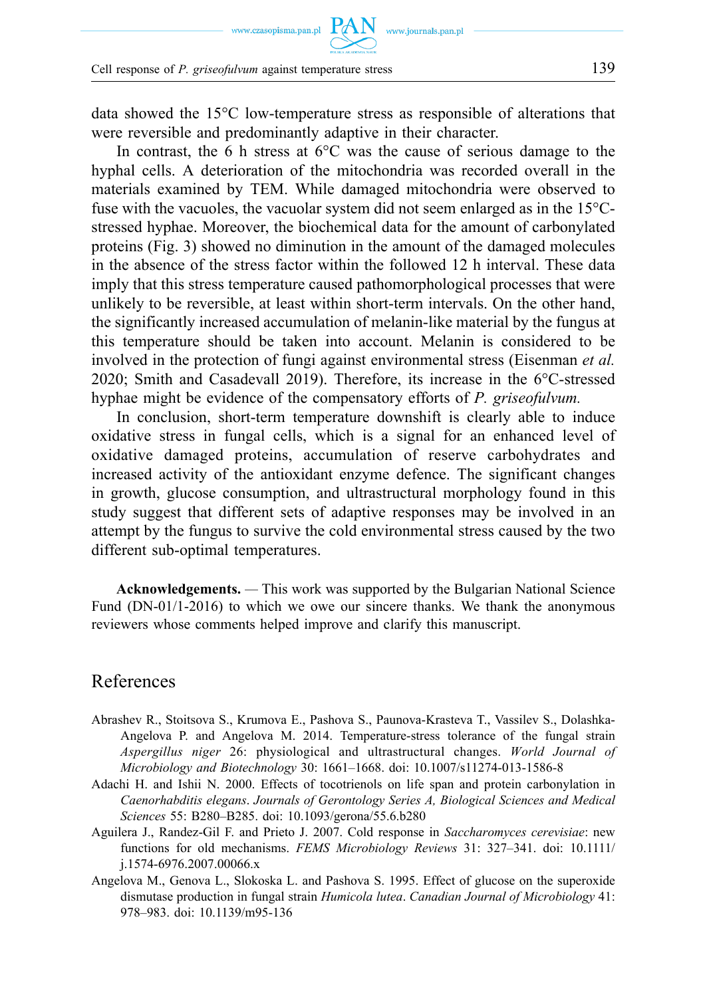data showed the 15°C low-temperature stress as responsible of alterations that were reversible and predominantly adaptive in their character.

In contrast, the 6 h stress at  $6^{\circ}$ C was the cause of serious damage to the hyphal cells. A deterioration of the mitochondria was recorded overall in the materials examined by TEM. While damaged mitochondria were observed to fuse with the vacuoles, the vacuolar system did not seem enlarged as in the  $15^{\circ}$ Cstressed hyphae. Moreover, the biochemical data for the amount of carbonylated proteins (Fig. 3) showed no diminution in the amount of the damaged molecules in the absence of the stress factor within the followed 12 h interval. These data imply that this stress temperature caused pathomorphological processes that were unlikely to be reversible, at least within short-term intervals. On the other hand, the significantly increased accumulation of melanin-like material by the fungus at this temperature should be taken into account. Melanin is considered to be involved in the protection of fungi against environmental stress (Eisenman *et al.*  2020; Smith and Casadevall 2019). Therefore, its increase in the 6°C-stressed hyphae might be evidence of the compensatory efforts of *P. griseofulvum.* 

In conclusion, short-term temperature downshift is clearly able to induce oxidative stress in fungal cells, which is a signal for an enhanced level of oxidative damaged proteins, accumulation of reserve carbohydrates and increased activity of the antioxidant enzyme defence. The significant changes in growth, glucose consumption, and ultrastructural morphology found in this study suggest that different sets of adaptive responses may be involved in an attempt by the fungus to survive the cold environmental stress caused by the two different sub-optimal temperatures.

**Acknowledgements.** *—* This work was supported by the Bulgarian National Science Fund (DN-01/1-2016) to which we owe our sincere thanks. We thank the anonymous reviewers whose comments helped improve and clarify this manuscript.

#### References

- Abrashev R., Stoitsova S., Krumova E., Pashova S., Paunova-Krasteva T., Vassilev S., Dolashka-Angelova P. and Angelova M. 2014. Temperature-stress tolerance of the fungal strain *Aspergillus niger* 26: physiological and ultrastructural changes. *World Journal of Microbiology and Biotechnology* 30: 1661–1668. [doi: 10.1007/s11274-013-1586-8](https://doi.org/10.1007/s11274-013-1586-8)
- Adachi H. and Ishii N. 2000. Effects of tocotrienols on life span and protein carbonylation in *Caenorhabditis elegans*. *Journals of Gerontology Series A, Biological Sciences and Medical Sciences* 55: B280–B285. [doi: 10.1093/gerona/55.6.b280](https://doi.org/10.1093/gerona/55.6.b280)
- Aguilera J., Randez-Gil F. and Prieto J. 2007. Cold response in *Saccharomyces cerevisiae*: new functions for old mechanisms. *FEMS Microbiology Reviews* 31: 327–341. [doi: 10.1111/](https://doi.org/10.1111/j.1574-6976.2007.00066.x)  [j.1574-6976.2007.00066.x](https://doi.org/10.1111/j.1574-6976.2007.00066.x)
- Angelova M., Genova L., Slokoska L. and Pashova S. 1995. Effect of glucose on the superoxide dismutase production in fungal strain *Humicola lutea*. *Canadian Journal of Microbiology* 41: 978–983. [doi: 10.1139/m95-136](https://doi.org/10.1139/m95-136)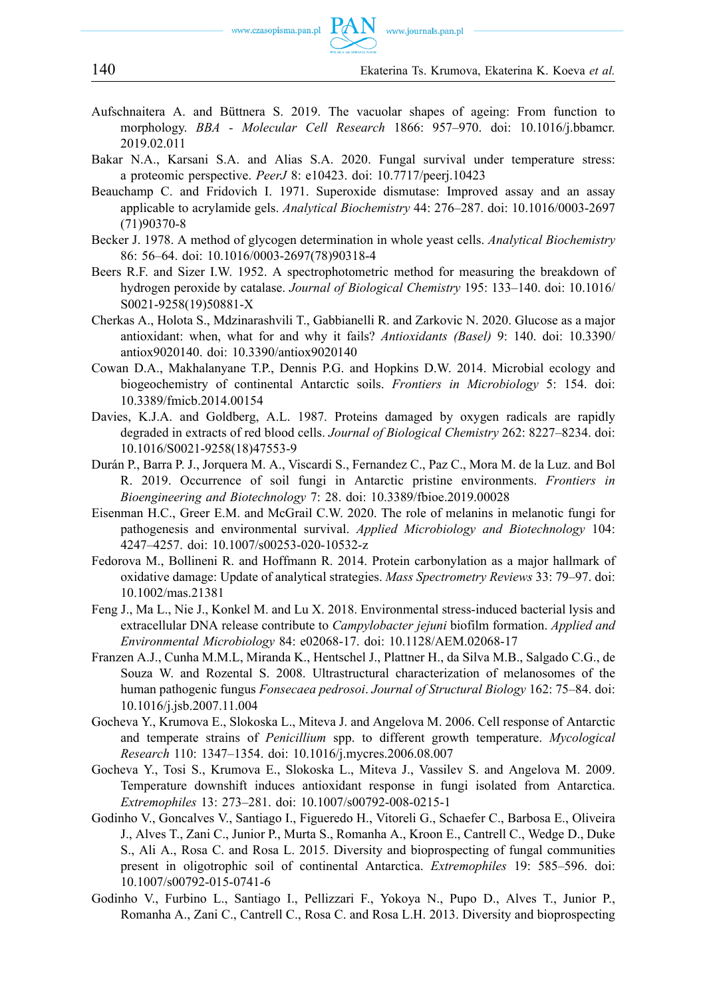- Aufschnaitera A. and Büttnera S. 2019. The vacuolar shapes of ageing: From function to morphology. *BBA - Molecular Cell Research* 1866: 957–970. [doi: 10.1016/j.bbamcr.](https://doi.org/10.1016/j.bbamcr.2019.02.011)  [2019.02.011](https://doi.org/10.1016/j.bbamcr.2019.02.011)
- Bakar N.A., Karsani S.A. and Alias S.A. 2020. Fungal survival under temperature stress: a proteomic perspective. *PeerJ* 8: e10423. [doi: 10.7717/peerj.10423](https://doi.org/10.7717/peerj.10423)
- Beauchamp C. and Fridovich I. 1971. Superoxide dismutase: Improved assay and an assay applicable to acrylamide gels. *Analytical Biochemistry* 44: 276–287. [doi: 10.1016/0003-2697](https://doi.org/10.1016/0003-2697(71)90370-8)  [\(71\)90370-8](https://doi.org/10.1016/0003-2697(71)90370-8)
- Becker J. 1978. A method of glycogen determination in whole yeast cells. *Analytical Biochemistry*  86: 56–64. [doi: 10.1016/0003-2697\(78\)90318-4](https://doi.org/10.1016/0003-2697(78)90318-4)
- Beers R.F. and Sizer I.W. 1952. A spectrophotometric method for measuring the breakdown of hydrogen peroxide by catalase. *Journal of Biological Chemistry* 195: 133–140. [doi: 10.1016/](https://doi.org/10.1016/S0021-9258(19)50881-X)  [S0021-9258\(19\)50881-X](https://doi.org/10.1016/S0021-9258(19)50881-X)
- Cherkas A., Holota S., Mdzinarashvili T., Gabbianelli R. and Zarkovic N. 2020. Glucose as a major antioxidant: when, what for and why it fails? *Antioxidants (Basel)* 9: 140. [doi: 10.3390/](https://doi.org/10.3390/antiox9020140.)  [antiox9020140.](https://doi.org/10.3390/antiox9020140.) [doi: 10.3390/antiox9020140](https://doi.org/10.3390/antiox9020140)
- Cowan D.A., Makhalanyane T.P., Dennis P.G. and Hopkins D.W. 2014. Microbial ecology and biogeochemistry of continental Antarctic soils. *Frontiers in Microbiology* 5: 154. [doi:](https://doi.org/10.3389/fmicb.2014.00154)  [10.3389/fmicb.2014.00154](https://doi.org/10.3389/fmicb.2014.00154)
- Davies, K.J.A. and Goldberg, A.L. 1987. Proteins damaged by oxygen radicals are rapidly degraded in extracts of red blood cells. *Journal of Biological Chemistry* 262: 8227–8234. [doi:](https://doi.org/10.1016/S0021-9258(18)47553-9)  [10.1016/S0021-9258\(18\)47553-9](https://doi.org/10.1016/S0021-9258(18)47553-9)
- Durán P., Barra P. J., Jorquera M. A., Viscardi S., Fernandez C., Paz C., Mora M. de la Luz. and Bol R. 2019. Occurrence of soil fungi in Antarctic pristine environments. *Frontiers in Bioengineering and Biotechnology* 7: 28. [doi: 10.3389/fbioe.2019.00028](https://doi.org/10.3389/fbioe.2019.00028)
- Eisenman H.C., Greer E.M. and McGrail C.W. 2020. The role of melanins in melanotic fungi for pathogenesis and environmental survival. *Applied Microbiology and Biotechnology* 104: 4247–4257. [doi: 10.1007/s00253-020-10532-z](https://doi.org/10.1007/s00253-020-10532-z)
- Fedorova M., Bollineni R. and Hoffmann R. 2014. Protein carbonylation as a major hallmark of oxidative damage: Update of analytical strategies. *Mass Spectrometry Reviews* 33: 79–97. [doi:](https://doi.org/10.1002/mas.21381)  [10.1002/mas.21381](https://doi.org/10.1002/mas.21381)
- Feng J., Ma L., Nie J., Konkel M. and Lu X. 2018. Environmental stress-induced bacterial lysis and extracellular DNA release contribute to *Campylobacter jejuni* biofilm formation. *Applied and Environmental Microbiology* 84: e02068-17. [doi: 10.1128/AEM.02068-17](https://doi.org/10.1128/AEM.02068-17)
- Franzen A.J., Cunha M.M.L, Miranda K., Hentschel J., Plattner H., da Silva M.B., Salgado C.G., de Souza W. and Rozental S. 2008. Ultrastructural characterization of melanosomes of the human pathogenic fungus *Fonsecaea pedrosoi*. *Journal of Structural Biology* 162: 75–84. [doi:](https://doi.org/10.1016/j.jsb.2007.11.004)  [10.1016/j.jsb.2007.11.004](https://doi.org/10.1016/j.jsb.2007.11.004)
- Gocheva Y., Krumova E., Slokoska L., Miteva J. and Angelova M. 2006. Cell response of Antarctic and temperate strains of *Penicillium* spp. to different growth temperature. *Mycological Research* 110: 1347–1354. [doi: 10.1016/j.mycres.2006.08.007](https://doi.org/10.1016/j.mycres.2006.08.007)
- Gocheva Y., Tosi S., Krumova E., Slokoska L., Miteva J., Vassilev S. and Angelova M. 2009. Temperature downshift induces antioxidant response in fungi isolated from Antarctica. *Extremophiles* 13: 273–281. [doi: 10.1007/s00792-008-0215-1](https://doi.org/10.1007/s00792-008-0215-1)
- Godinho V., Goncalves V., Santiago I., Figueredo H., Vitoreli G., Schaefer C., Barbosa E., Oliveira J., Alves T., Zani C., Junior P., Murta S., Romanha A., Kroon E., Cantrell C., Wedge D., Duke S., Ali A., Rosa C. and Rosa L. 2015. Diversity and bioprospecting of fungal communities present in oligotrophic soil of continental Antarctica. *Extremophiles* 19: 585–596. [doi:](https://doi.org/10.1007/s00792-015-0741-6)  [10.1007/s00792-015-0741-6](https://doi.org/10.1007/s00792-015-0741-6)
- Godinho V., Furbino L., Santiago I., Pellizzari F., Yokoya N., Pupo D., Alves T., Junior P., Romanha A., Zani C., Cantrell C., Rosa C. and Rosa L.H. 2013. Diversity and bioprospecting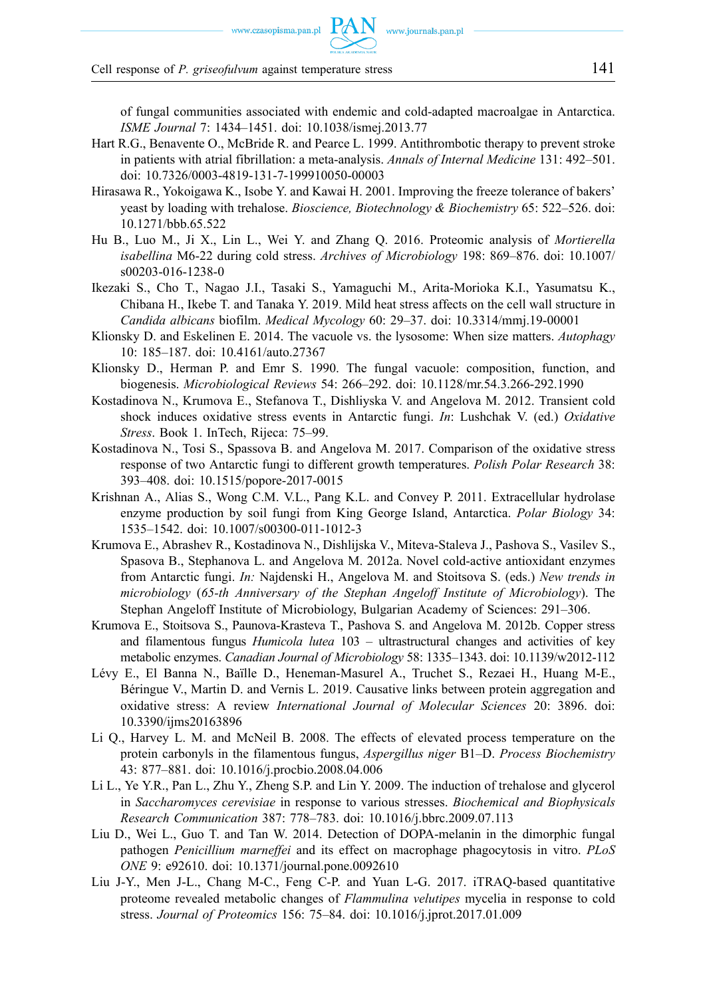Cell response of *P. griseofulvum* against temperature stress 141

of fungal communities associated with endemic and cold-adapted macroalgae in Antarctica. *ISME Journal* 7: 1434–1451. [doi: 10.1038/ismej.2013.77](https://doi.org/10.1038/ismej.2013.77)

- Hart R.G., Benavente O., McBride R. and Pearce L. 1999. Antithrombotic therapy to prevent stroke in patients with atrial fibrillation: a meta-analysis. *Annals of Internal Medicine* 131: 492–501. [doi: 10.7326/0003-4819-131-7-199910050-00003](https://doi.org/10.7326/0003-4819-131-7-199910050-00003)
- Hirasawa R., Yokoigawa K., Isobe Y. and Kawai H. 2001. Improving the freeze tolerance of bakers' yeast by loading with trehalose. *Bioscience, Biotechnology & Biochemistry* 65: 522–526. [doi:](https://doi.org/10.1271/bbb.65.522)  [10.1271/bbb.65.522](https://doi.org/10.1271/bbb.65.522)
- Hu B., Luo M., Ji X., Lin L., Wei Y. and Zhang Q. 2016. Proteomic analysis of *Mortierella isabellina* M6-22 during cold stress. *Archives of Microbiology* 198: 869–876. [doi: 10.1007/](https://doi.org/10.1007/s00203-016-1238-0)  [s00203-016-1238-0](https://doi.org/10.1007/s00203-016-1238-0)
- Ikezaki S., Cho T., Nagao J.I., Tasaki S., Yamaguchi M., Arita-Morioka K.I., Yasumatsu K., Chibana H., Ikebe T. and Tanaka Y. 2019. Mild heat stress affects on the cell wall structure in *Candida albicans* biofilm. *Medical Mycology* 60: 29–37. [doi: 10.3314/mmj.19-00001](https://doi.org/10.3314/mmj.19-00001)
- Klionsky D. and Eskelinen E. 2014. The vacuole vs. the lysosome: When size matters. *Autophagy*  10: 185–187. [doi: 10.4161/auto.27367](https://doi.org/10.4161/auto.27367)
- Klionsky D., Herman P. and Emr S. 1990. The fungal vacuole: composition, function, and biogenesis. *Microbiological Reviews* 54: 266–292. [doi: 10.1128/mr.54.3.266-292.1990](https://doi.org/10.1128/mr.54.3.266-292.1990)
- Kostadinova N., Krumova E., Stefanova T., Dishliyska V. and Angelova M. 2012. Transient cold shock induces oxidative stress events in Antarctic fungi. *In*: Lushchak V. (ed.) *Oxidative Stress*. Book 1. InTech, Rijeca: 75–99.
- Kostadinova N., Tosi S., Spassova B. and Angelova M. 2017. Comparison of the oxidative stress response of two Antarctic fungi to different growth temperatures. *Polish Polar Research* 38: 393–408. [doi: 10.1515/popore-2017-0015](https://doi.org/10.1515/popore-2017-0015)
- Krishnan A., Alias S., Wong C.M. V.L., Pang K.L. and Convey P. 2011. Extracellular hydrolase enzyme production by soil fungi from King George Island, Antarctica. *Polar Biology* 34: 1535–1542. [doi: 10.1007/s00300-011-1012-3](https://doi.org/10.1007/s00300-011-1012-3)
- Krumova E., Abrashev R., Kostadinova N., Dishlijska V., Miteva-Staleva J., Pashova S., Vasilev S., Spasova B., Stephanova L. and Angelova M. 2012a. Novel cold-active antioxidant enzymes from Antarctic fungi. *In:* Najdenski H., Angelova M. and Stoitsova S. (eds.) *New trends in microbiology* (*65-th Anniversary of the Stephan Angeloff Institute of Microbiology*). The Stephan Angeloff Institute of Microbiology, Bulgarian Academy of Sciences: 291–306.
- Krumova E., Stoitsova S., Paunova-Krasteva T., Pashova S. and Angelova M. 2012b. Copper stress and filamentous fungus *Humicola lutea* 103 – ultrastructural changes and activities of key metabolic enzymes. *Canadian Journal of Microbiology* 58: 1335–1343. [doi: 10.1139/w2012-112](https://doi.org/10.1139/w2012-112)
- Lévy E., El Banna N., Baïlle D., Heneman-Masurel A., Truchet S., Rezaei H., Huang M-E., Béringue V., Martin D. and Vernis L. 2019. Causative links between protein aggregation and oxidative stress: A review *International Journal of Molecular Sciences* 20: 3896. [doi:](https://doi.org/10.3390/ijms20163896)  [10.3390/ijms20163896](https://doi.org/10.3390/ijms20163896)
- Li Q., Harvey L. M. and McNeil B. 2008. The effects of elevated process temperature on the protein carbonyls in the filamentous fungus, *Aspergillus niger* B1–D. *Process Biochemistry*  43: 877–881. [doi: 10.1016/j.procbio.2008.04.006](https://doi.org/10.1016/j.procbio.2008.04.006)
- Li L., Ye Y.R., Pan L., Zhu Y., Zheng S.P. and Lin Y. 2009. The induction of trehalose and glycerol in *Saccharomyces cerevisiae* in response to various stresses. *Biochemical and Biophysicals Research Communication* 387: 778–783. [doi: 10.1016/j.bbrc.2009.07.113](https://doi.org/10.1016/j.bbrc.2009.07.113)
- Liu D., Wei L., Guo T. and Tan W. 2014. Detection of DOPA-melanin in the dimorphic fungal pathogen *Penicillium marneffei* and its effect on macrophage phagocytosis in vitro. *PLoS ONE* 9: e92610. [doi: 10.1371/journal.pone.0092610](https://doi.org/10.1371/journal.pone.0092610)
- Liu J-Y., Men J-L., Chang M-C., Feng C-P. and Yuan L-G. 2017. iTRAQ-based quantitative proteome revealed metabolic changes of *Flammulina velutipes* mycelia in response to cold stress. *Journal of Proteomics* 156: 75–84. [doi: 10.1016/j.jprot.2017.01.009](https://doi.org/10.1016/j.jprot.2017.01.009)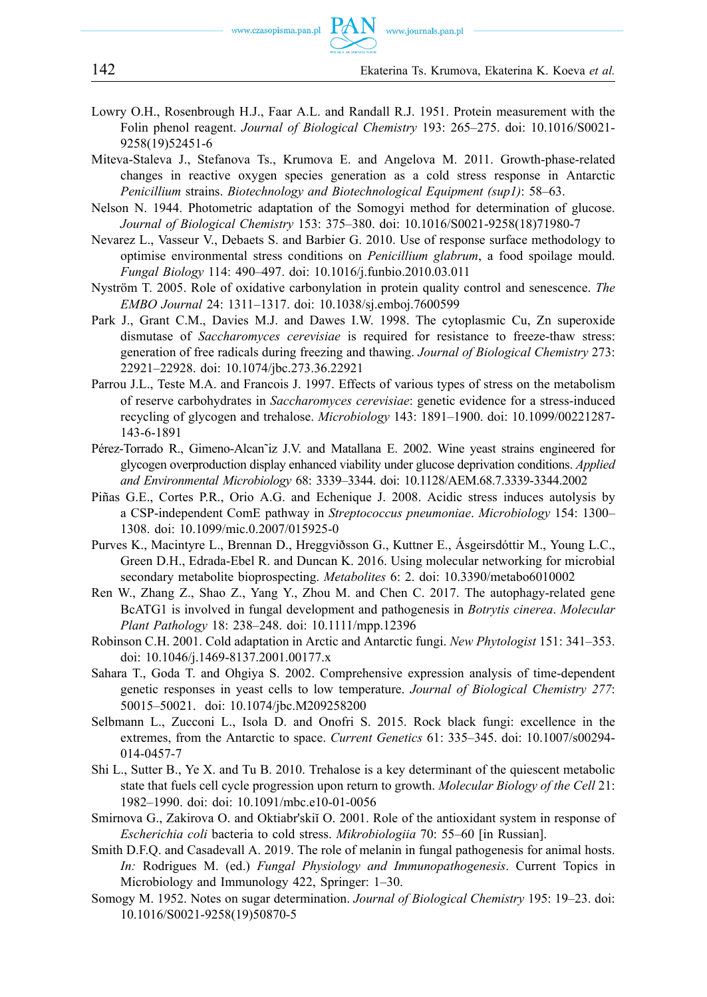- Lowry O.H., Rosenbrough H.J., Faar A.L. and Randall R.J. 1951. Protein measurement with the Folin phenol reagent. *Journal of Biological Chemistry* 193: 265–275. [doi: 10.1016/S0021-](https://doi.org/10.1016/S0021-9258(19)52451-6)  [9258\(19\)52451-6](https://doi.org/10.1016/S0021-9258(19)52451-6)
- Miteva-Staleva J., Stefanova Ts., Krumova E. and Angelova M. 2011. Growth-phase-related changes in reactive oxygen species generation as a cold stress response in Antarctic *Penicillium* strains. *Biotechnology and Biotechnological Equipment (sup1)*: 58–63.
- Nelson N. 1944. Photometric adaptation of the Somogyi method for determination of glucose. *Journal of Biological Chemistry* 153: 375–380. [doi: 10.1016/S0021-9258\(18\)71980-7](https://doi.org/10.1016/S0021-9258(18)71980-7)
- Nevarez L., Vasseur V., Debaets S. and Barbier G. 2010. Use of response surface methodology to optimise environmental stress conditions on *Penicillium glabrum*, a food spoilage mould. *Fungal Biology* 114: 490–497. [doi: 10.1016/j.funbio.2010.03.011](https://doi.org/10.1016/j.funbio.2010.03.011)
- Nyström T. 2005. Role of oxidative carbonylation in protein quality control and senescence. *The EMBO Journal* 24: 1311–1317. [doi: 10.1038/sj.emboj.7600599](https://doi.org/10.1038/sj.emboj.7600599)
- Park J., Grant C.M., Davies M.J. and Dawes I.W. 1998. The cytoplasmic Cu, Zn superoxide dismutase of *Saccharomyces cerevisiae* is required for resistance to freeze-thaw stress: generation of free radicals during freezing and thawing. *Journal of Biological Chemistry* 273: 22921–22928. [doi: 10.1074/jbc.273.36.22921](https://doi.org/10.1074/jbc.273.36.22921)
- Parrou J.L., Teste M.A. and Francois J. 1997. Effects of various types of stress on the metabolism of reserve carbohydrates in *Saccharomyces cerevisiae*: genetic evidence for a stress-induced recycling of glycogen and trehalose. *Microbiology* 143: 1891–1900. [doi: 10.1099/00221287-](https://doi.org/10.1099/00221287-143-6-1891)  [143-6-1891](https://doi.org/10.1099/00221287-143-6-1891)
- Pérez-Torrado R., Gimeno-Alcan˜iz J.V. and Matallana E. 2002. Wine yeast strains engineered for glycogen overproduction display enhanced viability under glucose deprivation conditions. *Applied and Environmental Microbiology* 68: 3339–3344. [doi: 10.1128/AEM.68.7.3339-3344.2002](https://doi.org/10.1128/AEM.68.7.3339-3344.2002)
- Piñas G.E., Cortes P.R., Orio A.G. and Echenique J. 2008. Acidic stress induces autolysis by a CSP-independent ComE pathway in *Streptococcus pneumoniae*. *Microbiology* 154: 1300– 1308. [doi: 10.1099/mic.0.2007/015925-0](https://doi.org/10.1099/mic.0.2007/015925-0)
- Purves K., Macintyre L., Brennan D., Hreggviðsson G., Kuttner E., Ásgeirsdóttir M., Young L.C., Green D.H., Edrada-Ebel R. and Duncan K. 2016. Using molecular networking for microbial secondary metabolite bioprospecting. *Metabolites* 6: 2. [doi: 10.3390/metabo6010002](https://doi.org/10.3390/metabo6010002)
- Ren W., Zhang Z., Shao Z., Yang Y., Zhou M. and Chen C. 2017. The autophagy-related gene BcATG1 is involved in fungal development and pathogenesis in *Botrytis cinerea*. *Molecular Plant Pathology* 18: 238–248. [doi: 10.1111/mpp.12396](https://doi.org/10.1111/mpp.12396)
- Robinson C.H. 2001. Cold adaptation in Arctic and Antarctic fungi. *New Phytologist* 151: 341–353. [doi: 10.1046/j.1469-8137.2001.00177.x](https://doi.org/10.1046/j.1469-8137.2001.00177.x)
- Sahara T., Goda T. and Ohgiya S. 2002. Comprehensive expression analysis of time-dependent genetic responses in yeast cells to low temperature. *Journal of Biological Chemistry 277*: 50015–50021. [doi: 10.1074/jbc.M209258200](https://doi.org/10.1074/jbc.M209258200)
- Selbmann L., Zucconi L., Isola D. and Onofri S. 2015. Rock black fungi: excellence in the extremes, from the Antarctic to space. *Current Genetics* 61: 335–345. [doi: 10.1007/s00294-](https://doi.org/10.1007/s00294-014-0457-7)  [014-0457-7](https://doi.org/10.1007/s00294-014-0457-7)
- Shi L., Sutter B., Ye X. and Tu B. 2010. Trehalose is a key determinant of the quiescent metabolic state that fuels cell cycle progression upon return to growth. *Molecular Biology of the Cell* 21: 1982–1990. [doi:](https://doi.org/) [doi: 10.1091/mbc.e10-01-0056](https://doi.org/10.1091/mbc.e10-01-0056)
- Smirnova G., Zakirova O. and Oktiabr'skiĭ O. 2001. Role of the antioxidant system in response of *Escherichia coli* bacteria to cold stress. *Mikrobiologiia* 70: 55–60 [in Russian].
- Smith D.F.Q. and Casadevall A. 2019. The role of melanin in fungal pathogenesis for animal hosts. *In:* Rodrigues M. (ed.) *Fungal Physiology and Immunopathogenesis*. Current Topics in Microbiology and Immunology 422, Springer: 1–30.
- Somogy M. 1952. Notes on sugar determination. *Journal of Biological Chemistry* 195: 19–23. [doi:](https://doi.org/10.1016/S0021-9258(19)50870-5)  [10.1016/S0021-9258\(19\)50870-5](https://doi.org/10.1016/S0021-9258(19)50870-5)